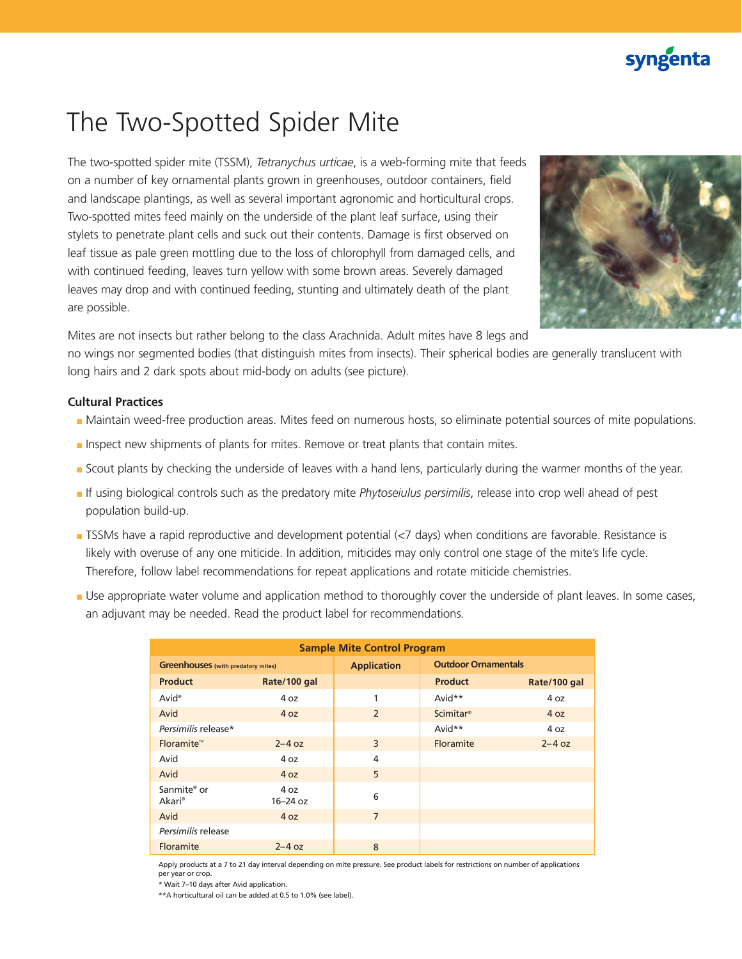## syngenta

# The Two-Spotted Spider Mite

The two-spotted spider mite (TSSM), *Tetranychus urticae*, is a web-forming mite that feeds on a number of key ornamental plants grown in greenhouses, outdoor containers, field and landscape plantings, as well as several important agronomic and horticultural crops. Two-spotted mites feed mainly on the underside of the plant leaf surface, using their stylets to penetrate plant cells and suck out their contents. Damage is first observed on leaf tissue as pale green mottling due to the loss of chlorophyll from damaged cells, and with continued feeding, leaves turn yellow with some brown areas. Severely damaged leaves may drop and with continued feeding, stunting and ultimately death of the plant are possible.



Mites are not insects but rather belong to the class Arachnida. Adult mites have 8 legs and

no wings nor segmented bodies (that distinguish mites from insects). Their spherical bodies are generally translucent with long hairs and 2 dark spots about mid-body on adults (see picture).

### **Cultural Practices**

- Maintain weed-free production areas. Mites feed on numerous hosts, so eliminate potential sources of mite populations.
- Inspect new shipments of plants for mites. Remove or treat plants that contain mites.
- Scout plants by checking the underside of leaves with a hand lens, particularly during the warmer months of the year.
- If using biological controls such as the predatory mite *Phytoseiulus persimilis*, release into crop well ahead of pest population build-up.
- TSSMs have a rapid reproductive and development potential (<7 days) when conditions are favorable. Resistance is likely with overuse of any one miticide. In addition, miticides may only control one stage of the mite's life cycle. Therefore, follow label recommendations for repeat applications and rotate miticide chemistries.
- Use appropriate water volume and application method to thoroughly cover the underside of plant leaves. In some cases, an adjuvant may be needed. Read the product label for recommendations.

| <b>Sample Mite Control Program</b>        |                      |                    |                            |              |
|-------------------------------------------|----------------------|--------------------|----------------------------|--------------|
| <b>Greenhouses</b> (with predatory mites) |                      | <b>Application</b> | <b>Outdoor Ornamentals</b> |              |
| <b>Product</b>                            | Rate/100 gal         |                    | <b>Product</b>             | Rate/100 gal |
| Avid <sup>®</sup>                         | 4 oz                 |                    | Avid**                     | 4 oz         |
| Avid                                      | 4 oz                 | $\overline{2}$     | <b>Scimitar®</b>           | 4 oz         |
| Persimilis release*                       |                      |                    | Avid**                     | 4 oz         |
| Floramite <sup>™</sup>                    | $2 - 4$ oz           | 3                  | <b>Floramite</b>           | $2 - 4$ oz   |
| Avid                                      | 4 oz                 | $\overline{4}$     |                            |              |
| Avid                                      | 4 oz                 | 5                  |                            |              |
| Sanmite <sup>®</sup> or<br>Akari®         | 4 oz<br>$16 - 24$ oz | 6                  |                            |              |
| Avid                                      | 4 oz                 | $\overline{7}$     |                            |              |
| Persimilis release                        |                      |                    |                            |              |
| Floramite                                 | $2 - 4$ oz           | 8                  |                            |              |

Apply products at a 7 to 21 day interval depending on mite pressure. See product labels for restrictions on number of applications per year or crop.

\* Wait 7–10 days after Avid application.

\*\*A horticultural oil can be added at 0.5 to 1.0% (see label).